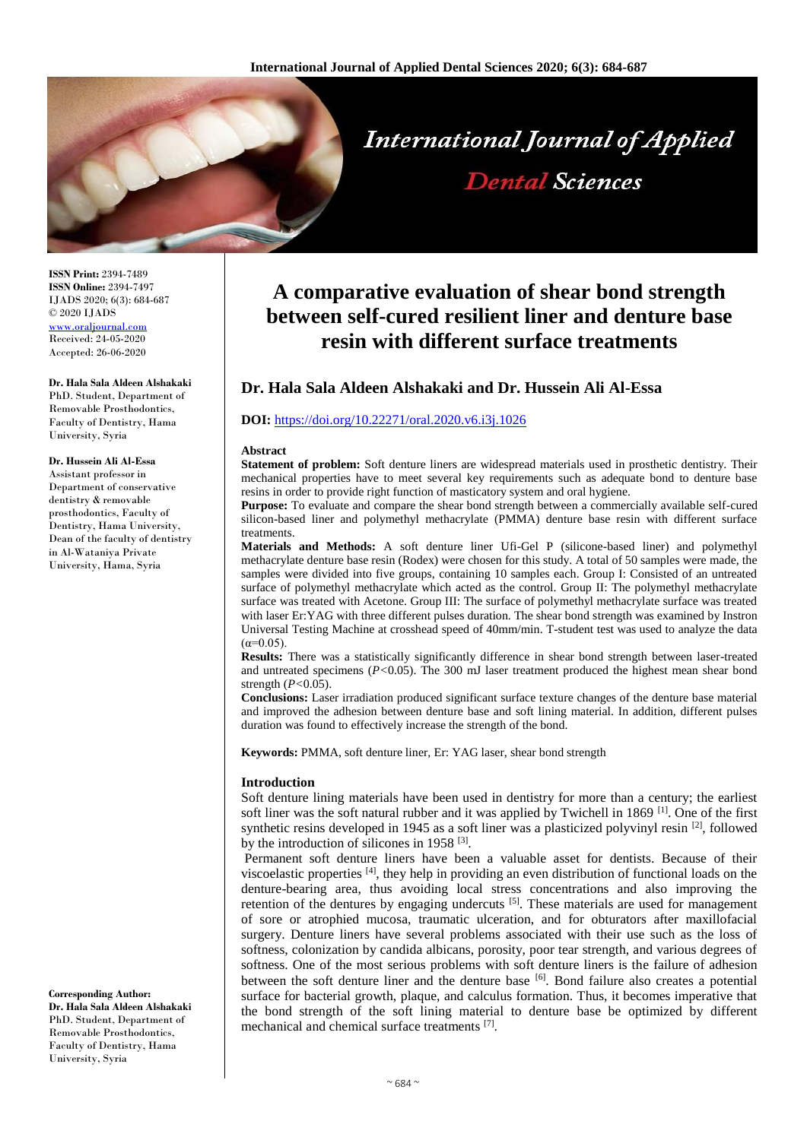

**ISSN Print:** 2394-7489 **ISSN Online:** 2394-7497 IJADS 2020; 6(3): 684-687 © 2020 IJADS [www.oraljournal.com](http://www.oraljournal.com/) Received: 24-05-2020 Accepted: 26-06-2020

**Dr. Hala Sala Aldeen Alshakaki** PhD. Student, Department of Removable Prosthodontics, Faculty of Dentistry, Hama University, Syria

#### **Dr. Hussein Ali Al-Essa**

Assistant professor in Department of conservative dentistry & removable prosthodontics, Faculty of Dentistry, Hama University, Dean of the faculty of dentistry in Al-Wataniya Private University, Hama, Syria

**Corresponding Author: Dr. Hala Sala Aldeen Alshakaki** PhD. Student, Department of

Removable Prosthodontics, Faculty of Dentistry, Hama University, Syria

# **A comparative evaluation of shear bond strength between self-cured resilient liner and denture base resin with different surface treatments**

# **Dr. Hala Sala Aldeen Alshakaki and Dr. Hussein Ali Al-Essa**

## **DOI:** <https://doi.org/10.22271/oral.2020.v6.i3j.1026>

#### **Abstract**

**Statement of problem:** Soft denture liners are widespread materials used in prosthetic dentistry. Their mechanical properties have to meet several key requirements such as adequate bond to denture base resins in order to provide right function of masticatory system and oral hygiene.

**Purpose:** To evaluate and compare the shear bond strength between a commercially available self-cured silicon-based liner and polymethyl methacrylate (PMMA) denture base resin with different surface treatments.

**Materials and Methods:** A soft denture liner Ufi-Gel P (silicone-based liner) and polymethyl methacrylate denture base resin (Rodex) were chosen for this study. A total of 50 samples were made, the samples were divided into five groups, containing 10 samples each. Group I: Consisted of an untreated surface of polymethyl methacrylate which acted as the control. Group II: The polymethyl methacrylate surface was treated with Acetone. Group III: The surface of polymethyl methacrylate surface was treated with laser Er:YAG with three different pulses duration. The shear bond strength was examined by Instron Universal Testing Machine at crosshead speed of 40mm/min. T-student test was used to analyze the data  $(\alpha=0.05)$ .

**Results:** There was a statistically significantly difference in shear bond strength between laser-treated and untreated specimens (*P<*0.05). The 300 mJ laser treatment produced the highest mean shear bond strength (*P<*0.05).

**Conclusions:** Laser irradiation produced significant surface texture changes of the denture base material and improved the adhesion between denture base and soft lining material. In addition, different pulses duration was found to effectively increase the strength of the bond.

**Keywords:** PMMA, soft denture liner, Er: YAG laser, shear bond strength

### **Introduction**

Soft denture lining materials have been used in dentistry for more than a century; the earliest soft liner was the soft natural rubber and it was applied by Twichell in 1869  $^{[1]}$ . One of the first synthetic resins developed in 1945 as a soft liner was a plasticized polyvinyl resin [2], followed by the introduction of silicones in 1958<sup>[3]</sup>.

Permanent soft denture liners have been a valuable asset for dentists. Because of their viscoelastic properties [4], they help in providing an even distribution of functional loads on the denture-bearing area, thus avoiding local stress concentrations and also improving the retention of the dentures by engaging undercuts  $[5]$ . These materials are used for management of sore or atrophied mucosa, traumatic ulceration, and for obturators after maxillofacial surgery. Denture liners have several problems associated with their use such as the loss of softness, colonization by candida albicans, porosity, poor tear strength, and various degrees of softness. One of the most serious problems with soft denture liners is the failure of adhesion between the soft denture liner and the denture base  $\left[6\right]$ . Bond failure also creates a potential surface for bacterial growth, plaque, and calculus formation. Thus, it becomes imperative that the bond strength of the soft lining material to denture base be optimized by different mechanical and chemical surface treatments [7].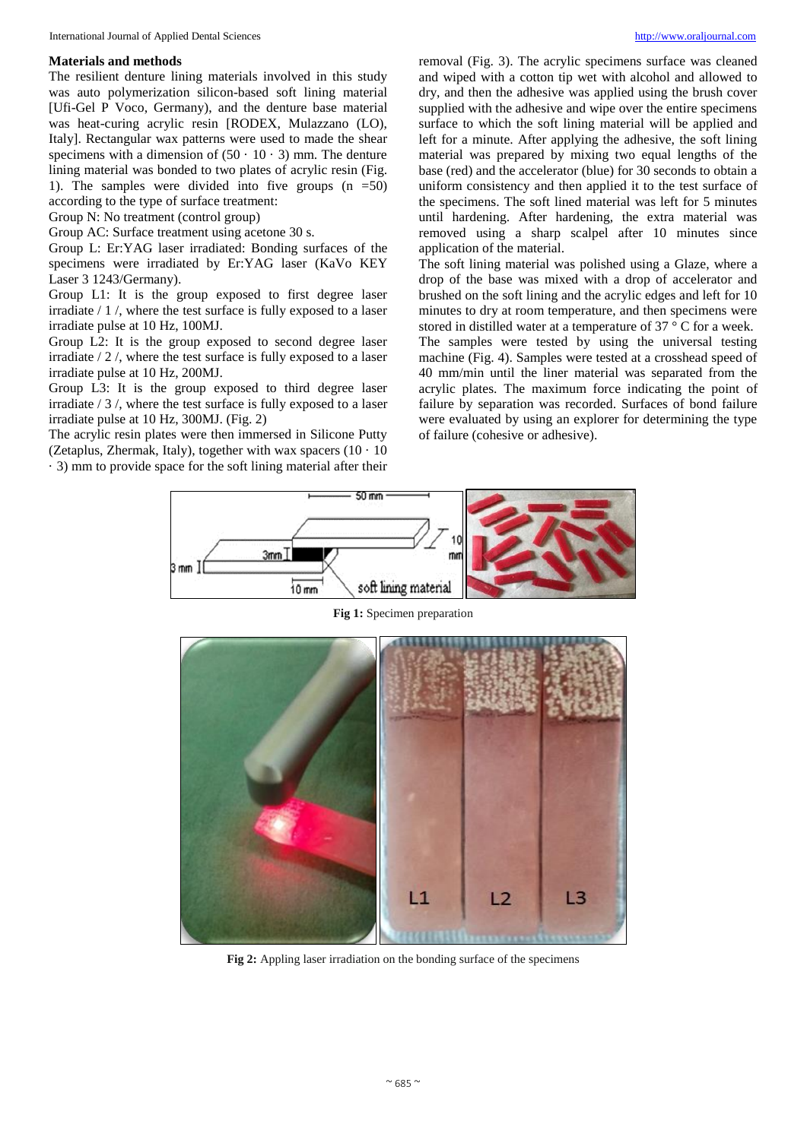### **Materials and methods**

The resilient denture lining materials involved in this study was auto polymerization silicon-based soft lining material [Ufi-Gel P Voco, Germany), and the denture base material was heat-curing acrylic resin [RODEX, Mulazzano (LO), Italy]. Rectangular wax patterns were used to made the shear specimens with a dimension of  $(50 \cdot 10 \cdot 3)$  mm. The denture lining material was bonded to two plates of acrylic resin (Fig. 1). The samples were divided into five groups  $(n = 50)$ according to the type of surface treatment:

Group N: No treatment (control group)

Group AC: Surface treatment using acetone 30 s.

Group L: Er:YAG laser irradiated: Bonding surfaces of the specimens were irradiated by Er:YAG laser (KaVo KEY Laser 3 1243/Germany).

Group L1: It is the group exposed to first degree laser irradiate / 1 /, where the test surface is fully exposed to a laser irradiate pulse at 10 Hz, 100MJ.

Group L2: It is the group exposed to second degree laser irradiate / 2 /, where the test surface is fully exposed to a laser irradiate pulse at 10 Hz, 200MJ.

Group L3: It is the group exposed to third degree laser irradiate / 3 /, where the test surface is fully exposed to a laser irradiate pulse at 10 Hz, 300MJ. (Fig. 2)

The acrylic resin plates were then immersed in Silicone Putty (Zetaplus, Zhermak, Italy), together with wax spacers  $(10 \cdot 10)$ · 3) mm to provide space for the soft lining material after their removal (Fig. 3). The acrylic specimens surface was cleaned and wiped with a cotton tip wet with alcohol and allowed to dry, and then the adhesive was applied using the brush cover supplied with the adhesive and wipe over the entire specimens surface to which the soft lining material will be applied and left for a minute. After applying the adhesive, the soft lining material was prepared by mixing two equal lengths of the base (red) and the accelerator (blue) for 30 seconds to obtain a uniform consistency and then applied it to the test surface of the specimens. The soft lined material was left for 5 minutes until hardening. After hardening, the extra material was removed using a sharp scalpel after 10 minutes since application of the material.

The soft lining material was polished using a Glaze, where a drop of the base was mixed with a drop of accelerator and brushed on the soft lining and the acrylic edges and left for 10 minutes to dry at room temperature, and then specimens were stored in distilled water at a temperature of 37 ° C for a week. The samples were tested by using the universal testing machine (Fig. 4). Samples were tested at a crosshead speed of 40 mm/min until the liner material was separated from the acrylic plates. The maximum force indicating the point of failure by separation was recorded. Surfaces of bond failure were evaluated by using an explorer for determining the type of failure (cohesive or adhesive).





**Fig 1:** Specimen preparation

**Fig 2:** Appling laser irradiation on the bonding surface of the specimens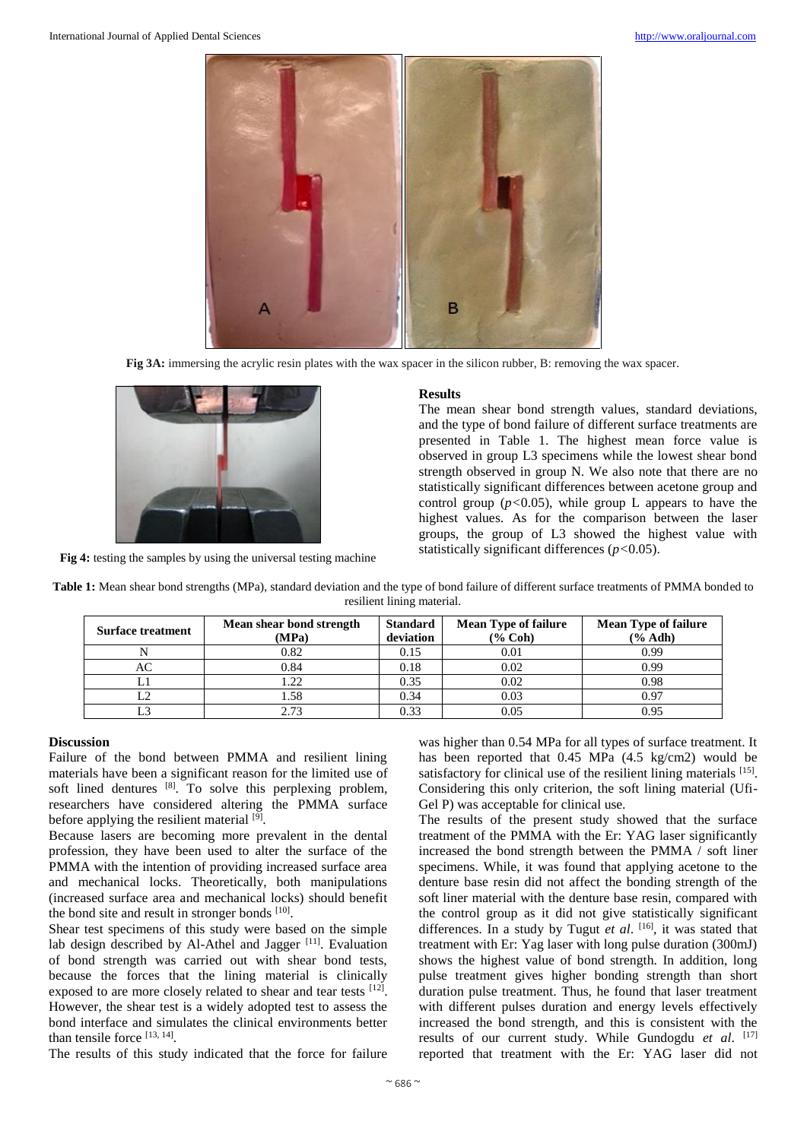

**Fig 3A:** immersing the acrylic resin plates with the wax spacer in the silicon rubber, B: removing the wax spacer.



**Fig 4:** testing the samples by using the universal testing machine

### **Results**

The mean shear bond strength values, standard deviations, and the type of bond failure of different surface treatments are presented in Table 1. The highest mean force value is observed in group L3 specimens while the lowest shear bond strength observed in group N. We also note that there are no statistically significant differences between acetone group and control group  $(p<0.05)$ , while group L appears to have the highest values. As for the comparison between the laser groups, the group of L3 showed the highest value with statistically significant differences (*p<*0.05).

| Table 1: Mean shear bond strengths (MPa), standard deviation and the type of bond failure of different surface treatments of PMMA bonded to |
|---------------------------------------------------------------------------------------------------------------------------------------------|
| resilient lining material.                                                                                                                  |

| <b>Surface treatment</b> | Mean shear bond strength<br>(MPa) | <b>Standard</b><br>deviation | <b>Mean Type of failure</b><br>$(% \mathbf{Coh})$ | <b>Mean Type of failure</b><br>$(\%$ Adh) |
|--------------------------|-----------------------------------|------------------------------|---------------------------------------------------|-------------------------------------------|
|                          | 0.82                              | 0.15                         | 0.01                                              | 0.99                                      |
| AC                       | 0.84                              | 0.18                         | 0.02                                              | 0.99                                      |
| L1                       | .22                               | 0.35                         | 0.02                                              | 0.98                                      |
| L2                       | l.58                              | 0.34                         | 0.03                                              | 0.97                                      |
|                          | 2.73                              | 0.33                         | 0.05                                              | 0.95                                      |

# **Discussion**

Failure of the bond between PMMA and resilient lining materials have been a significant reason for the limited use of soft lined dentures [8]. To solve this perplexing problem, researchers have considered altering the PMMA surface before applying the resilient material [9].

Because lasers are becoming more prevalent in the dental profession, they have been used to alter the surface of the PMMA with the intention of providing increased surface area and mechanical locks. Theoretically, both manipulations (increased surface area and mechanical locks) should benefit the bond site and result in stronger bonds [10].

Shear test specimens of this study were based on the simple lab design described by Al-Athel and Jagger [11]. Evaluation of bond strength was carried out with shear bond tests, because the forces that the lining material is clinically exposed to are more closely related to shear and tear tests [12]. However, the shear test is a widely adopted test to assess the bond interface and simulates the clinical environments better than tensile force [13, 14].

The results of this study indicated that the force for failure

was higher than 0.54 MPa for all types of surface treatment. It has been reported that 0.45 MPa (4.5 kg/cm2) would be satisfactory for clinical use of the resilient lining materials [15]. Considering this only criterion, the soft lining material (Ufi-Gel P) was acceptable for clinical use.

The results of the present study showed that the surface treatment of the PMMA with the Er: YAG laser significantly increased the bond strength between the PMMA / soft liner specimens. While, it was found that applying acetone to the denture base resin did not affect the bonding strength of the soft liner material with the denture base resin, compared with the control group as it did not give statistically significant differences. In a study by Tugut *et al*. [16], it was stated that treatment with Er: Yag laser with long pulse duration (300mJ) shows the highest value of bond strength. In addition, long pulse treatment gives higher bonding strength than short duration pulse treatment. Thus, he found that laser treatment with different pulses duration and energy levels effectively increased the bond strength, and this is consistent with the results of our current study. While Gundogdu *et al*. [17] reported that treatment with the Er: YAG laser did not